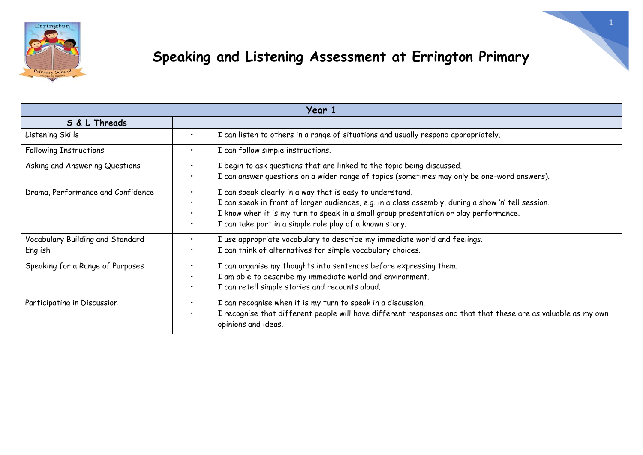

| <b>Year 1</b>                               |                                                                                                                                                                                                                                                                                                                                                                         |  |
|---------------------------------------------|-------------------------------------------------------------------------------------------------------------------------------------------------------------------------------------------------------------------------------------------------------------------------------------------------------------------------------------------------------------------------|--|
| S & L Threads                               |                                                                                                                                                                                                                                                                                                                                                                         |  |
| Listening Skills                            | I can listen to others in a range of situations and usually respond appropriately.<br>$\bullet$                                                                                                                                                                                                                                                                         |  |
| <b>Following Instructions</b>               | I can follow simple instructions.<br>$\bullet$                                                                                                                                                                                                                                                                                                                          |  |
| Asking and Answering Questions              | I begin to ask questions that are linked to the topic being discussed.<br>$\bullet$<br>I can answer questions on a wider range of topics (sometimes may only be one-word answers).<br>$\bullet$                                                                                                                                                                         |  |
| Drama, Performance and Confidence           | I can speak clearly in a way that is easy to understand.<br>$\bullet$<br>I can speak in front of larger audiences, e.g. in a class assembly, during a show 'n' tell session.<br>$\bullet$<br>I know when it is my turn to speak in a small group presentation or play performance.<br>$\bullet$<br>I can take part in a simple role play of a known story.<br>$\bullet$ |  |
| Vocabulary Building and Standard<br>English | I use appropriate vocabulary to describe my immediate world and feelings.<br>$\bullet$<br>I can think of alternatives for simple vocabulary choices.<br>$\bullet$                                                                                                                                                                                                       |  |
| Speaking for a Range of Purposes            | I can organise my thoughts into sentences before expressing them.<br>$\bullet$<br>I am able to describe my immediate world and environment.<br>$\bullet$<br>I can retell simple stories and recounts aloud.<br>$\bullet$                                                                                                                                                |  |
| Participating in Discussion                 | I can recognise when it is my turn to speak in a discussion.<br>$\bullet$<br>I recognise that different people will have different responses and that that these are as valuable as my own<br>$\bullet$<br>opinions and ideas.                                                                                                                                          |  |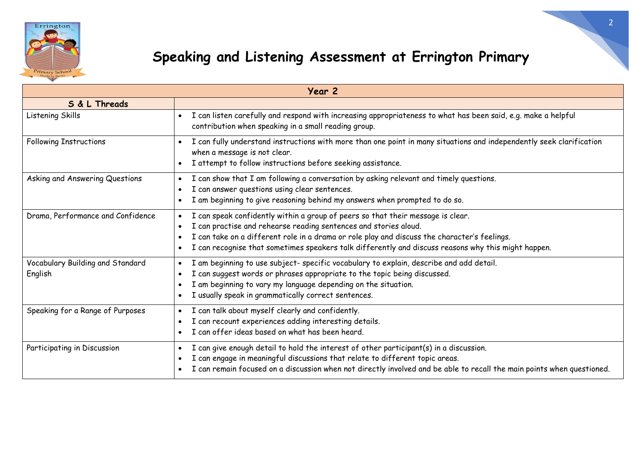

| Year 2                                      |                                                                                                                                                                                                                                                                                                                                                                         |  |
|---------------------------------------------|-------------------------------------------------------------------------------------------------------------------------------------------------------------------------------------------------------------------------------------------------------------------------------------------------------------------------------------------------------------------------|--|
| S & L Threads                               |                                                                                                                                                                                                                                                                                                                                                                         |  |
| Listening Skills                            | I can listen carefully and respond with increasing appropriateness to what has been said, e.g. make a helpful<br>$\bullet$<br>contribution when speaking in a small reading group.                                                                                                                                                                                      |  |
| <b>Following Instructions</b>               | I can fully understand instructions with more than one point in many situations and independently seek clarification<br>when a message is not clear.<br>I attempt to follow instructions before seeking assistance.<br>$\bullet$                                                                                                                                        |  |
| Asking and Answering Questions              | I can show that I am following a conversation by asking relevant and timely questions.<br>I can answer questions using clear sentences.<br>I am beginning to give reasoning behind my answers when prompted to do so.<br>$\bullet$                                                                                                                                      |  |
| Drama, Performance and Confidence           | I can speak confidently within a group of peers so that their message is clear.<br>I can practise and rehearse reading sentences and stories aloud.<br>I can take on a different role in a drama or role play and discuss the character's feelings.<br>I can recognise that sometimes speakers talk differently and discuss reasons why this might happen.<br>$\bullet$ |  |
| Vocabulary Building and Standard<br>English | I am beginning to use subject- specific vocabulary to explain, describe and add detail.<br>I can suggest words or phrases appropriate to the topic being discussed.<br>I am beginning to vary my language depending on the situation.<br>I usually speak in grammatically correct sentences.<br>$\bullet$                                                               |  |
| Speaking for a Range of Purposes            | I can talk about myself clearly and confidently.<br>I can recount experiences adding interesting details.<br>$\bullet$<br>I can offer ideas based on what has been heard.                                                                                                                                                                                               |  |
| Participating in Discussion                 | I can give enough detail to hold the interest of other participant(s) in a discussion.<br>$\bullet$<br>I can engage in meaningful discussions that relate to different topic areas.<br>I can remain focused on a discussion when not directly involved and be able to recall the main points when questioned.                                                           |  |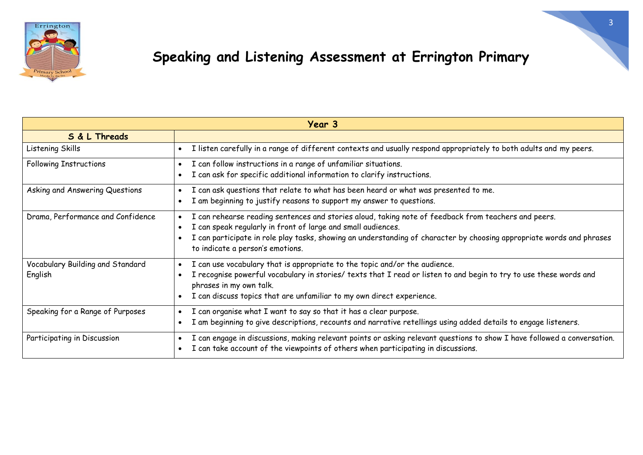

| Year 3                            |                                                                                                                                                           |  |
|-----------------------------------|-----------------------------------------------------------------------------------------------------------------------------------------------------------|--|
| S & L Threads                     |                                                                                                                                                           |  |
| Listening Skills                  | I listen carefully in a range of different contexts and usually respond appropriately to both adults and my peers.                                        |  |
| <b>Following Instructions</b>     | I can follow instructions in a range of unfamiliar situations.<br>$\bullet$                                                                               |  |
|                                   | I can ask for specific additional information to clarify instructions.                                                                                    |  |
| Asking and Answering Questions    | I can ask questions that relate to what has been heard or what was presented to me.                                                                       |  |
|                                   | I am beginning to justify reasons to support my answer to questions.                                                                                      |  |
| Drama, Performance and Confidence | I can rehearse reading sentences and stories aloud, taking note of feedback from teachers and peers.                                                      |  |
|                                   | I can speak regularly in front of large and small audiences.                                                                                              |  |
|                                   | I can participate in role play tasks, showing an understanding of character by choosing appropriate words and phrases<br>to indicate a person's emotions. |  |
| Vocabulary Building and Standard  | I can use vocabulary that is appropriate to the topic and/or the audience.                                                                                |  |
| English                           | I recognise powerful vocabulary in stories/ texts that I read or listen to and begin to try to use these words and<br>phrases in my own talk.             |  |
|                                   | I can discuss topics that are unfamiliar to my own direct experience.                                                                                     |  |
| Speaking for a Range of Purposes  | I can organise what I want to say so that it has a clear purpose.                                                                                         |  |
|                                   | I am beginning to give descriptions, recounts and narrative retellings using added details to engage listeners.                                           |  |
| Participating in Discussion       | I can engage in discussions, making relevant points or asking relevant questions to show I have followed a conversation.                                  |  |
|                                   | I can take account of the viewpoints of others when participating in discussions.                                                                         |  |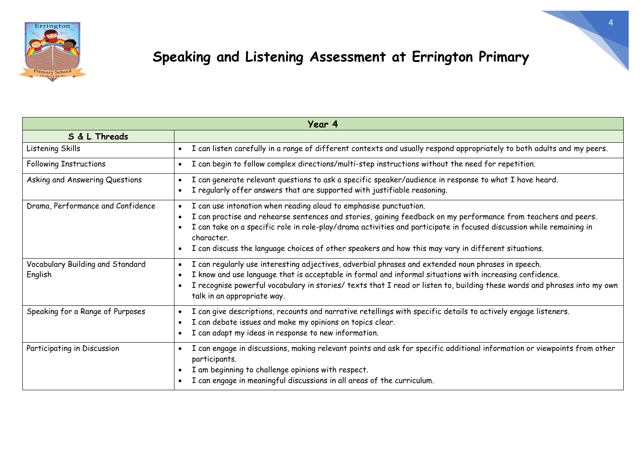

| Year 4                            |                                                                                                                                                         |  |
|-----------------------------------|---------------------------------------------------------------------------------------------------------------------------------------------------------|--|
| S & L Threads                     |                                                                                                                                                         |  |
| Listening Skills                  | I can listen carefully in a range of different contexts and usually respond appropriately to both adults and my peers.<br>$\bullet$                     |  |
| <b>Following Instructions</b>     | I can begin to follow complex directions/multi-step instructions without the need for repetition.<br>$\bullet$                                          |  |
| Asking and Answering Questions    | I can generate relevant questions to ask a specific speaker/audience in response to what I have heard.                                                  |  |
|                                   | I regularly offer answers that are supported with justifiable reasoning.<br>$\bullet$                                                                   |  |
| Drama, Performance and Confidence | I can use intonation when reading aloud to emphasise punctuation.<br>$\bullet$                                                                          |  |
|                                   | I can practise and rehearse sentences and stories, gaining feedback on my performance from teachers and peers.                                          |  |
|                                   | I can take on a specific role in role-play/drama activities and participate in focused discussion while remaining in<br>character.                      |  |
|                                   | I can discuss the language choices of other speakers and how this may vary in different situations.                                                     |  |
| Vocabulary Building and Standard  | I can regularly use interesting adjectives, adverbial phrases and extended noun phrases in speech.                                                      |  |
| English                           | I know and use language that is acceptable in formal and informal situations with increasing confidence.                                                |  |
|                                   | I recognise powerful vocabulary in stories/ texts that I read or listen to, building these words and phrases into my own<br>talk in an appropriate way. |  |
| Speaking for a Range of Purposes  | I can give descriptions, recounts and narrative retellings with specific details to actively engage listeners.                                          |  |
|                                   | I can debate issues and make my opinions on topics clear.<br>$\bullet$                                                                                  |  |
|                                   | I can adapt my ideas in response to new information.<br>$\bullet$                                                                                       |  |
| Participating in Discussion       | I can engage in discussions, making relevant points and ask for specific additional information or viewpoints from other<br>participants.               |  |
|                                   | I am beginning to challenge opinions with respect.                                                                                                      |  |
|                                   | I can engage in meaningful discussions in all areas of the curriculum.                                                                                  |  |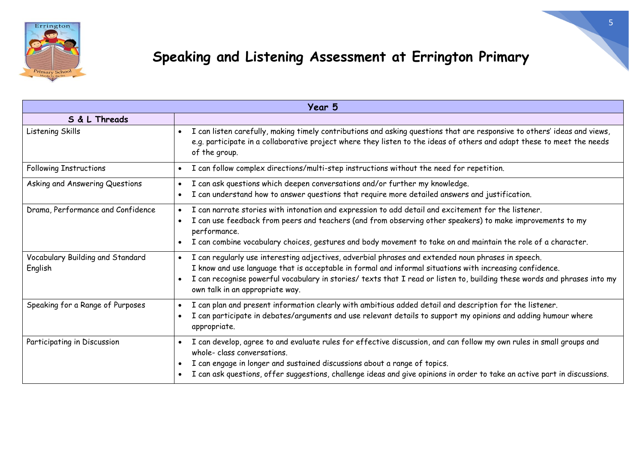

| Year 5                                      |                                                                                                                                                                                                                                                                                                                                                                               |  |
|---------------------------------------------|-------------------------------------------------------------------------------------------------------------------------------------------------------------------------------------------------------------------------------------------------------------------------------------------------------------------------------------------------------------------------------|--|
| S & L Threads                               |                                                                                                                                                                                                                                                                                                                                                                               |  |
| Listening Skills                            | I can listen carefully, making timely contributions and asking questions that are responsive to others' ideas and views,<br>$\bullet$<br>e.g. participate in a collaborative project where they listen to the ideas of others and adapt these to meet the needs<br>of the group.                                                                                              |  |
| <b>Following Instructions</b>               | I can follow complex directions/multi-step instructions without the need for repetition.                                                                                                                                                                                                                                                                                      |  |
| Asking and Answering Questions              | I can ask questions which deepen conversations and/or further my knowledge.                                                                                                                                                                                                                                                                                                   |  |
|                                             | I can understand how to answer questions that require more detailed answers and justification.                                                                                                                                                                                                                                                                                |  |
| Drama, Performance and Confidence           | I can narrate stories with intonation and expression to add detail and excitement for the listener.                                                                                                                                                                                                                                                                           |  |
|                                             | I can use feedback from peers and teachers (and from observing other speakers) to make improvements to my<br>performance.                                                                                                                                                                                                                                                     |  |
|                                             | I can combine vocabulary choices, gestures and body movement to take on and maintain the role of a character.                                                                                                                                                                                                                                                                 |  |
| Vocabulary Building and Standard<br>English | I can regularly use interesting adjectives, adverbial phrases and extended noun phrases in speech.<br>I know and use language that is acceptable in formal and informal situations with increasing confidence.<br>I can recognise powerful vocabulary in stories/ texts that I read or listen to, building these words and phrases into my<br>own talk in an appropriate way. |  |
| Speaking for a Range of Purposes            | I can plan and present information clearly with ambitious added detail and description for the listener.                                                                                                                                                                                                                                                                      |  |
|                                             | I can participate in debates/arguments and use relevant details to support my opinions and adding humour where<br>appropriate.                                                                                                                                                                                                                                                |  |
| Participating in Discussion                 | I can develop, agree to and evaluate rules for effective discussion, and can follow my own rules in small groups and<br>whole-class conversations.                                                                                                                                                                                                                            |  |
|                                             | I can engage in longer and sustained discussions about a range of topics.                                                                                                                                                                                                                                                                                                     |  |
|                                             | I can ask questions, offer suggestions, challenge ideas and give opinions in order to take an active part in discussions.                                                                                                                                                                                                                                                     |  |